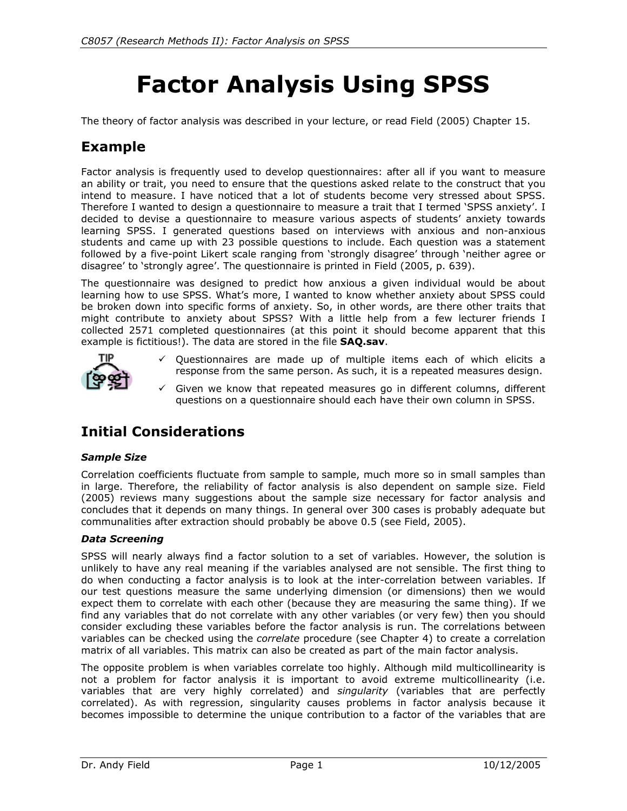# **Factor Analysis Using SPSS**

The theory of factor analysis was described in your lecture, or read Field (2005) Chapter 15.

# **Example**

Factor analysis is frequently used to develop questionnaires: after all if you want to measure an ability or trait, you need to ensure that the questions asked relate to the construct that you intend to measure. I have noticed that a lot of students become very stressed about SPSS. Therefore I wanted to design a questionnaire to measure a trait that I termed 'SPSS anxiety'. I decided to devise a questionnaire to measure various aspects of students' anxiety towards learning SPSS. I generated questions based on interviews with anxious and non-anxious students and came up with 23 possible questions to include. Each question was a statement followed by a five-point Likert scale ranging from 'strongly disagree' through 'neither agree or disagree' to 'strongly agree'. The questionnaire is printed in Field (2005, p. 639).

The questionnaire was designed to predict how anxious a given individual would be about learning how to use SPSS. What's more, I wanted to know whether anxiety about SPSS could be broken down into specific forms of anxiety. So, in other words, are there other traits that might contribute to anxiety about SPSS? With a little help from a few lecturer friends I collected 2571 completed questionnaires (at this point it should become apparent that this example is fictitious!). The data are stored in the file **SAQ.sav**.



- $\checkmark$  Questionnaires are made up of multiple items each of which elicits a response from the same person. As such, it is a repeated measures design.
- $\checkmark$  Given we know that repeated measures go in different columns, different questions on a questionnaire should each have their own column in SPSS.

# **Initial Considerations**

#### *Sample Size*

Correlation coefficients fluctuate from sample to sample, much more so in small samples than in large. Therefore, the reliability of factor analysis is also dependent on sample size. Field (2005) reviews many suggestions about the sample size necessary for factor analysis and concludes that it depends on many things. In general over 300 cases is probably adequate but communalities after extraction should probably be above 0.5 (see Field, 2005).

#### *Data Screening*

SPSS will nearly always find a factor solution to a set of variables. However, the solution is unlikely to have any real meaning if the variables analysed are not sensible. The first thing to do when conducting a factor analysis is to look at the inter-correlation between variables. If our test questions measure the same underlying dimension (or dimensions) then we would expect them to correlate with each other (because they are measuring the same thing). If we find any variables that do not correlate with any other variables (or very few) then you should consider excluding these variables before the factor analysis is run. The correlations between variables can be checked using the *correlate* procedure (see Chapter 4) to create a correlation matrix of all variables. This matrix can also be created as part of the main factor analysis.

The opposite problem is when variables correlate too highly. Although mild multicollinearity is not a problem for factor analysis it is important to avoid extreme multicollinearity (i.e. variables that are very highly correlated) and *singularity* (variables that are perfectly correlated). As with regression, singularity causes problems in factor analysis because it becomes impossible to determine the unique contribution to a factor of the variables that are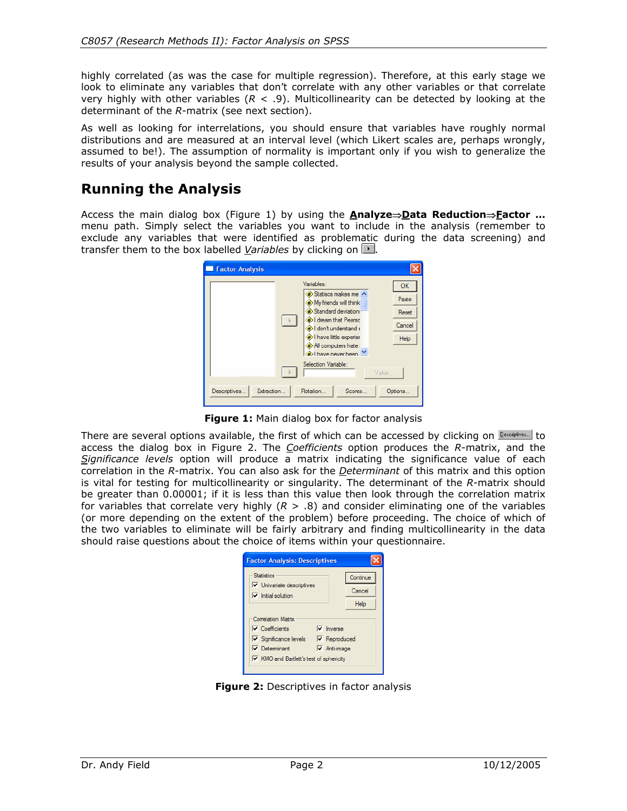highly correlated (as was the case for multiple regression). Therefore, at this early stage we look to eliminate any variables that don't correlate with any other variables or that correlate very highly with other variables (*R* < .9). Multicollinearity can be detected by looking at the determinant of the *R*-matrix (see next section).

As well as looking for interrelations, you should ensure that variables have roughly normal distributions and are measured at an interval level (which Likert scales are, perhaps wrongly, assumed to be!). The assumption of normality is important only if you wish to generalize the results of your analysis beyond the sample collected.

# **Running the Analysis**

Access the main dialog box (Figure 1) by using the **Analyze**⇒**Data Reduction**⇒**Factor …**  menu path. Simply select the variables you want to include in the analysis (remember to exclude any variables that were identified as problematic during the data screening) and transfer them to the box labelled *Variables* by clicking on ...

| <b>Factor Analysis</b>       |                                                                                                                                                                                                        |                                        |
|------------------------------|--------------------------------------------------------------------------------------------------------------------------------------------------------------------------------------------------------|----------------------------------------|
|                              | Variables:<br>Statiscs makes me<br>Wy friends will think<br>Standard deviation:<br>I dream that Pearso<br>Didon't understand a<br>I have little experier<br>All computers hate<br>A) I have never heen | OK<br>Paste<br>Reset<br>Cancel<br>Help |
|                              | Selection Variable:                                                                                                                                                                                    | Value                                  |
| Extraction.<br>Descriptives. | Rotation<br>Scores                                                                                                                                                                                     | Options                                |

**Figure 1:** Main dialog box for factor analysis

There are several options available, the first of which can be accessed by clicking on  $\frac{Descul}{s}$  to access the dialog box in Figure 2. The *Coefficients* option produces the *R*-matrix, and the *Significance levels* option will produce a matrix indicating the significance value of each correlation in the *R*-matrix. You can also ask for the *Determinant* of this matrix and this option is vital for testing for multicollinearity or singularity. The determinant of the *R*-matrix should be greater than 0.00001; if it is less than this value then look through the correlation matrix for variables that correlate very highly  $(R > .8)$  and consider eliminating one of the variables (or more depending on the extent of the problem) before proceeding. The choice of which of the two variables to eliminate will be fairly arbitrary and finding multicollinearity in the data should raise questions about the choice of items within your questionnaire.

| <b>Factor Analysis: Descriptives</b>                                 |                     |          |  |  |  |  |  |
|----------------------------------------------------------------------|---------------------|----------|--|--|--|--|--|
| <b>Statistics</b>                                                    |                     | Continue |  |  |  |  |  |
| $\triangledown$ Univariate descriptives<br>$\nabla$ Initial solution | Cancel              |          |  |  |  |  |  |
|                                                                      |                     | Help     |  |  |  |  |  |
| <b>Correlation Matrix</b>                                            |                     |          |  |  |  |  |  |
| $\nabla$ Coefficients                                                | $\nabla$ Inverse    |          |  |  |  |  |  |
| $\nabla$ Significance levels                                         | $\nabla$ Reproduced |          |  |  |  |  |  |
| $\nabla$ Determinant                                                 | $\nabla$ Anti-image |          |  |  |  |  |  |
| Ⅳ KMO and Bartlett's test of sphericity                              |                     |          |  |  |  |  |  |
|                                                                      |                     |          |  |  |  |  |  |

**Figure 2:** Descriptives in factor analysis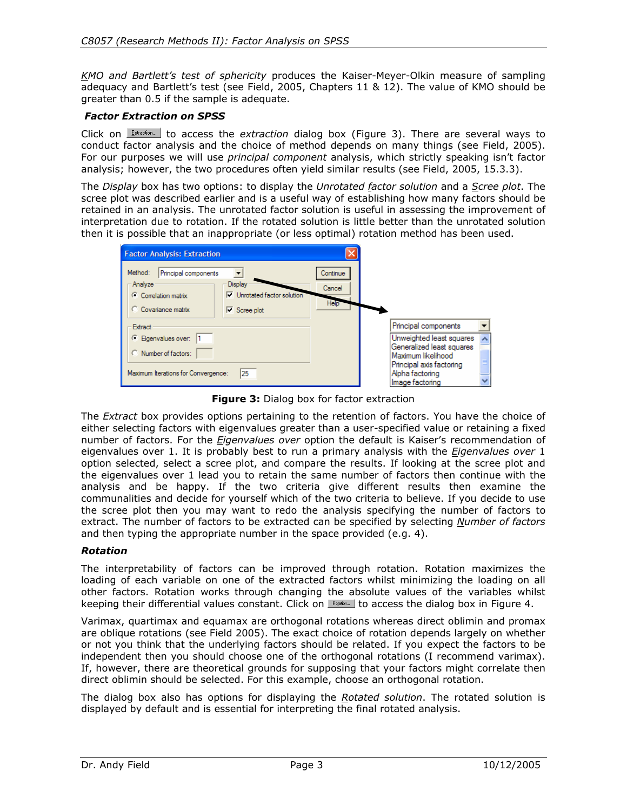*KMO and Bartlett's test of sphericity* produces the Kaiser-Meyer-Olkin measure of sampling adequacy and Bartlett's test (see Field, 2005, Chapters 11 & 12). The value of KMO should be greater than 0.5 if the sample is adequate.

#### *Factor Extraction on SPSS*

Click on *Extraction*... to access the *extraction* dialog box (Figure 3). There are several ways to conduct factor analysis and the choice of method depends on many things (see Field, 2005). For our purposes we will use *principal component* analysis, which strictly speaking isn't factor analysis; however, the two procedures often yield similar results (see Field, 2005, 15.3.3).

The *Display* box has two options: to display the *Unrotated factor solution* and a *Scree plot*. The scree plot was described earlier and is a useful way of establishing how many factors should be retained in an analysis. The unrotated factor solution is useful in assessing the improvement of interpretation due to rotation. If the rotated solution is little better than the unrotated solution then it is possible that an inappropriate (or less optimal) rotation method has been used.

| <b>Factor Analysis: Extraction</b>                                                                                                                                       |                                         |                                                                                                                                               |  |
|--------------------------------------------------------------------------------------------------------------------------------------------------------------------------|-----------------------------------------|-----------------------------------------------------------------------------------------------------------------------------------------------|--|
| Method:<br>Principal components<br>Analyze<br><b>Display</b><br>$\nabla$ Unrotated factor solution<br>C Correlation matrix<br>C Covariance matrix<br>$\nabla$ Scree plot | Continue<br>Cancel<br>Help <sup>1</sup> |                                                                                                                                               |  |
| <b>Extract</b>                                                                                                                                                           |                                         | Principal components                                                                                                                          |  |
| C Eigenvalues over: 1<br>C Number of factors:<br>25<br>Maximum Iterations for Convergence:                                                                               |                                         | Unweighted least squares<br>Generalized least squares<br>Maximum likelihood<br>Principal axis factoring<br>Alpha factoring<br>Image factoring |  |

**Figure 3:** Dialog box for factor extraction

The *Extract* box provides options pertaining to the retention of factors. You have the choice of either selecting factors with eigenvalues greater than a user-specified value or retaining a fixed number of factors. For the *Eigenvalues over* option the default is Kaiser's recommendation of eigenvalues over 1. It is probably best to run a primary analysis with the *Eigenvalues over* 1 option selected, select a scree plot, and compare the results. If looking at the scree plot and the eigenvalues over 1 lead you to retain the same number of factors then continue with the analysis and be happy. If the two criteria give different results then examine the communalities and decide for yourself which of the two criteria to believe. If you decide to use the scree plot then you may want to redo the analysis specifying the number of factors to extract. The number of factors to be extracted can be specified by selecting *Number of factors* and then typing the appropriate number in the space provided (e.g. 4).

#### *Rotation*

The interpretability of factors can be improved through rotation. Rotation maximizes the loading of each variable on one of the extracted factors whilst minimizing the loading on all other factors. Rotation works through changing the absolute values of the variables whilst keeping their differential values constant. Click on  $\blacksquare$  to access the dialog box in Figure 4.

Varimax, quartimax and equamax are orthogonal rotations whereas direct oblimin and promax are oblique rotations (see Field 2005). The exact choice of rotation depends largely on whether or not you think that the underlying factors should be related. If you expect the factors to be independent then you should choose one of the orthogonal rotations (I recommend varimax). If, however, there are theoretical grounds for supposing that your factors might correlate then direct oblimin should be selected. For this example, choose an orthogonal rotation.

The dialog box also has options for displaying the *Rotated solution*. The rotated solution is displayed by default and is essential for interpreting the final rotated analysis.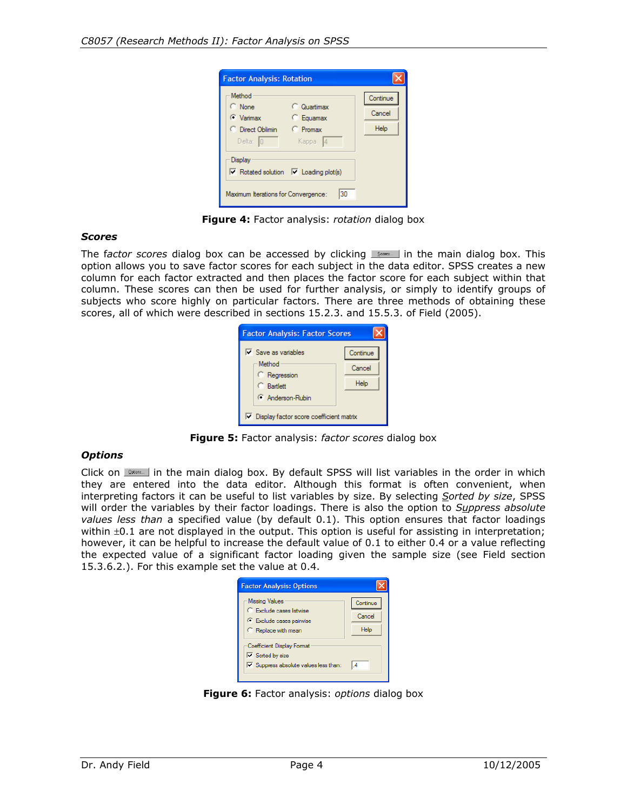| <b>Factor Analysis: Rotation</b>                                                                                              |                                                 |                            |
|-------------------------------------------------------------------------------------------------------------------------------|-------------------------------------------------|----------------------------|
| Method<br>C None<br><b>C</b> Varimax<br>C Direct Oblimin<br>Delta: $ 0 $                                                      | C Quartimax<br>C Equamax<br>C Promax<br>Kappa 4 | Continue<br>Cancel<br>Help |
| <b>Display</b><br>$\overline{\vee}$ Rotated solution $\overline{\vee}$ Loading plot(s)<br>Maximum Iterations for Convergence: | 30                                              |                            |

**Figure 4:** Factor analysis: *rotation* dialog box

#### *Scores*

The factor scores dialog box can be accessed by clicking  $\Box$  in the main dialog box. This option allows you to save factor scores for each subject in the data editor. SPSS creates a new column for each factor extracted and then places the factor score for each subject within that column. These scores can then be used for further analysis, or simply to identify groups of subjects who score highly on particular factors. There are three methods of obtaining these scores, all of which were described in sections 15.2.3. and 15.5.3. of Field (2005).

| <b>Factor Analysis: Factor Scores</b>                           |          |  |  |  |  |  |
|-----------------------------------------------------------------|----------|--|--|--|--|--|
| $\nabla$ Save as variables                                      | Continue |  |  |  |  |  |
| Method                                                          | Cancel   |  |  |  |  |  |
| C Regression<br><b>C</b> Bartlett                               | Help     |  |  |  |  |  |
| Anderson-Rubin                                                  |          |  |  |  |  |  |
| $\overline{\mathsf{v}}$ Display factor score coefficient matrix |          |  |  |  |  |  |

**Figure 5:** Factor analysis: *factor scores* dialog box

#### *Options*

Click on **Delors.** I in the main dialog box. By default SPSS will list variables in the order in which they are entered into the data editor. Although this format is often convenient, when interpreting factors it can be useful to list variables by size. By selecting *Sorted by size*, SPSS will order the variables by their factor loadings. There is also the option to *Suppress absolute values less than* a specified value (by default 0.1). This option ensures that factor loadings within  $\pm 0.1$  are not displayed in the output. This option is useful for assisting in interpretation; however, it can be helpful to increase the default value of 0.1 to either 0.4 or a value reflecting the expected value of a significant factor loading given the sample size (see Field section 15.3.6.2.). For this example set the value at 0.4.



**Figure 6:** Factor analysis: *options* dialog box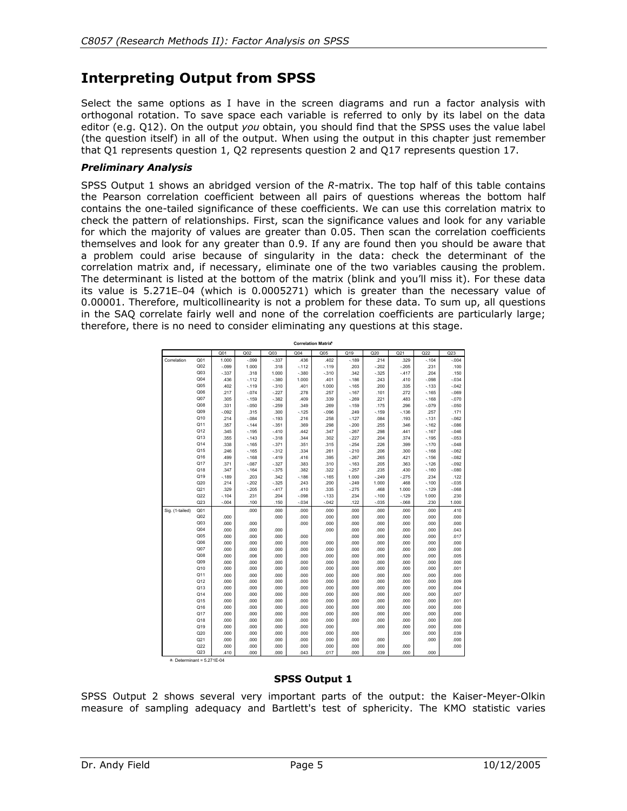# **Interpreting Output from SPSS**

Select the same options as I have in the screen diagrams and run a factor analysis with orthogonal rotation. To save space each variable is referred to only by its label on the data editor (e.g. Q12). On the output *you* obtain, you should find that the SPSS uses the value label (the question itself) in all of the output. When using the output in this chapter just remember that Q1 represents question 1, Q2 represents question 2 and Q17 represents question 17.

#### *Preliminary Analysis*

SPSS Output 1 shows an abridged version of the *R*-matrix. The top half of this table contains the Pearson correlation coefficient between all pairs of questions whereas the bottom half contains the one-tailed significance of these coefficients. We can use this correlation matrix to check the pattern of relationships. First, scan the significance values and look for any variable for which the majority of values are greater than 0.05. Then scan the correlation coefficients themselves and look for any greater than 0.9. If any are found then you should be aware that a problem could arise because of singularity in the data: check the determinant of the correlation matrix and, if necessary, eliminate one of the two variables causing the problem. The determinant is listed at the bottom of the matrix (blink and you'll miss it). For these data its value is 5.271E−04 (which is 0.0005271) which is greater than the necessary value of 0.00001. Therefore, multicollinearity is not a problem for these data. To sum up, all questions in the SAQ correlate fairly well and none of the correlation coefficients are particularly large; therefore, there is no need to consider eliminating any questions at this stage.

**Correlation Matrixa**

|                 |                 | Q <sub>01</sub> | Q <sub>02</sub> | Q <sub>03</sub> | Q <sub>04</sub> | Q05            | Q19             | Q20                | Q21              | Q22             | Q23             |
|-----------------|-----------------|-----------------|-----------------|-----------------|-----------------|----------------|-----------------|--------------------|------------------|-----------------|-----------------|
| Correlation     | Q <sub>01</sub> | 1.000           | $-0.99$         | $-337$          | .436            | .402           | $-189$          | .214               | 329              | $-.104$         | $-0.04$         |
|                 | Q <sub>02</sub> | $-0.99$         | 1.000           | .318            | $-112$          | $-.119$        | .203            | $-.202$            | $-.205$          | .231            | .100            |
|                 | Q <sub>03</sub> | $-337$          | .318            | 1.000           | $-380$          | $-310$         | .342            | $-.325$            | $-417$           | .204            | .150            |
|                 | Q <sub>04</sub> | .436            | $-112$          | $-380$          | 1.000           | .401           | $-186$          | .243               | .410             | $-0.98$         | $-0.34$         |
|                 | Q <sub>05</sub> | .402            | $-.119$         | $-.310$         | .401            | 1.000          | $-165$          | .200               | 335              | $-133$          | $-0.042$        |
|                 | Q06             | .217            | $-.074$         | $-227$          | .278            | .257           | $-167$          | .101               | .272             | $-165$          | $-069$          |
|                 | Q <sub>07</sub> | .305            | $-159$          | $-382$          | .409            | .339           | $-269$          | .221               | 483              | $-168$          | $-.070$         |
|                 | Q08             | .331            | $-.050$         | $-259$          | .349            | .269           | $-.159$         | .175               | .296             | $-.079$         | $-.050$         |
|                 | Q09             | $-0.92$         | .315            | .300            | $-125$          | $-0.096$       | .249            | $-159$             | $-136$           | .257            | .171            |
|                 | Q10             | .214            | $-.084$         | $-193$          | .216            | .258           | $-.127$         | .084               | .193             | $-131$          | $-062$          |
|                 | Q11             | .357            | $-144$          | $-351$          | .369            | .298           | $-200$          | .255               | .346             | $-162$          | $-086$          |
|                 | Q12             | .345            | $-0.195$        | $-.410$         | .442            | .347           | $-267$          | .298               | .441             | $-167$          | $-0.046$        |
|                 | Q13             | .355            | $-143$          | $-318$          | .344            | .302           | $-227$          | .204               | .374             | $-195$          | $-0.053$        |
|                 | Q14             | .338            | $-165$          | $-371$          | .351            | .315           | $-254$          | .226               | .399             | $-0.170$        | $-0.048$        |
|                 | Q15             | .246            | $-165$          | $-312$          | .334            | .261           | $-210$          | .206               | .300             | $-168$          | $-062$          |
|                 | Q16             | .499            | $-168$          | $-.419$         | .416            | .395           | $-267$          | .265               | 421              | $-156$          | $-082$          |
|                 | Q17<br>Q18      | .371            | $-.087$         | $-.327$         | .383            | .310           | $-163$          | .205               | .363             | $-.126$         | $-0.92$         |
|                 | Q19             | .347            | $-164$          | $-.375$         | .382            | .322           | $-257$          | .235               | .430             | $-.160$         | $-080$          |
|                 | Q20             | $-.189$<br>.214 | .203<br>$-202$  | .342<br>$-.325$ | $-186$<br>.243  | $-165$<br>.200 | 1.000<br>$-249$ | $-.249$<br>1.000   | $-.275$<br>.468  | .234<br>$-.100$ | .122<br>$-0.35$ |
|                 | Q21             | .329            | $-205$          | $-417$          | .410            | .335           | $-275$          | .468               | 1.000            | $-.129$         | $-068$          |
|                 | Q22             | $-.104$         | .231            | .204            | $-.098$         | $-133$         | .234            |                    |                  | 1.000           | .230            |
|                 | Q23             | $-0.04$         | .100            | .150            | $-0.34$         | $-.042$        | .122            | $-.100$<br>$-.035$ | $-129$<br>$-068$ | .230            | 1.000           |
| Sig. (1-tailed) | Q <sub>01</sub> |                 | .000            | .000            | .000            | .000           | .000            | .000               | .000             | .000            | .410            |
|                 | Q <sub>02</sub> | .000            |                 | .000            | .000            | .000           | .000            | .000               | .000             | .000            | .000            |
|                 | Q <sub>03</sub> | .000            | .000            |                 | .000            | .000           | .000            | .000               | .000             | .000            | .000            |
|                 | Q <sub>04</sub> | .000            | .000            | .000            |                 | .000           | .000            | .000               | .000             | .000            | .043            |
|                 | Q <sub>05</sub> | .000            | .000            | .000            | .000            |                | .000            | .000               | .000             | .000            | .017            |
|                 | Q06             | .000            | .000            | .000            | .000            | .000           | .000            | .000               | .000             | .000            | .000            |
|                 | Q <sub>07</sub> | .000            | .000            | .000            | .000            | .000           | .000            | .000               | .000             | .000            | .000            |
|                 | Q08             | .000            | .006            | .000            | .000            | .000           | .000            | .000               | .000             | .000            | .005            |
|                 | Q09             | .000            | .000            | .000            | .000            | .000           | .000            | .000               | .000             | .000            | .000            |
|                 | Q10             | .000            | .000            | .000            | .000            | .000           | .000            | .000               | .000             | .000            | .001            |
|                 | Q11             | .000            | .000            | .000            | .000            | .000           | .000            | .000               | .000             | .000            | .000            |
|                 | Q12             | .000            | .000            | .000            | .000            | .000           | .000            | .000               | .000             | .000            | .009            |
|                 | Q13             | .000            | .000            | .000            | .000            | .000           | .000            | .000               | .000             | .000            | .004            |
|                 | Q14             | .000            | .000            | .000            | .000            | .000           | .000            | .000               | .000             | .000            | .007            |
|                 | Q15             | .000            | .000            | .000            | .000            | .000           | .000            | .000               | .000             | .000            | .001            |
|                 | Q16             | .000            | .000            | .000            | .000            | .000           | .000            | .000               | .000             | .000            | .000            |
|                 | Q17             | .000            | .000            | .000            | .000            | .000           | .000            | .000               | .000             | .000            | .000            |
|                 | Q18             | .000            | .000            | .000            | .000            | .000           | .000            | .000               | .000             | .000            | .000            |
|                 | Q19             | .000            | .000            | .000            | .000            | .000           |                 | .000               | .000             | .000            | .000            |
|                 | Q20             | .000            | .000            | .000            | .000            | .000           | .000            |                    | .000             | .000            | .039            |
|                 | Q21             | .000            | .000            | .000            | .000            | .000           | .000            | .000               |                  | .000            | .000            |
|                 | Q22             | .000            | .000            | .000            | .000            | .000           | .000            | .000               | .000             |                 | .000            |
|                 | Q23             | .410            | .000            | .000            | .043            | .017           | .000            | .039               | .000             | .000            |                 |

a. Determinant = 5.271E-04

#### **SPSS Output 1**

SPSS Output 2 shows several very important parts of the output: the Kaiser-Meyer-Olkin measure of sampling adequacy and Bartlett's test of sphericity. The KMO statistic varies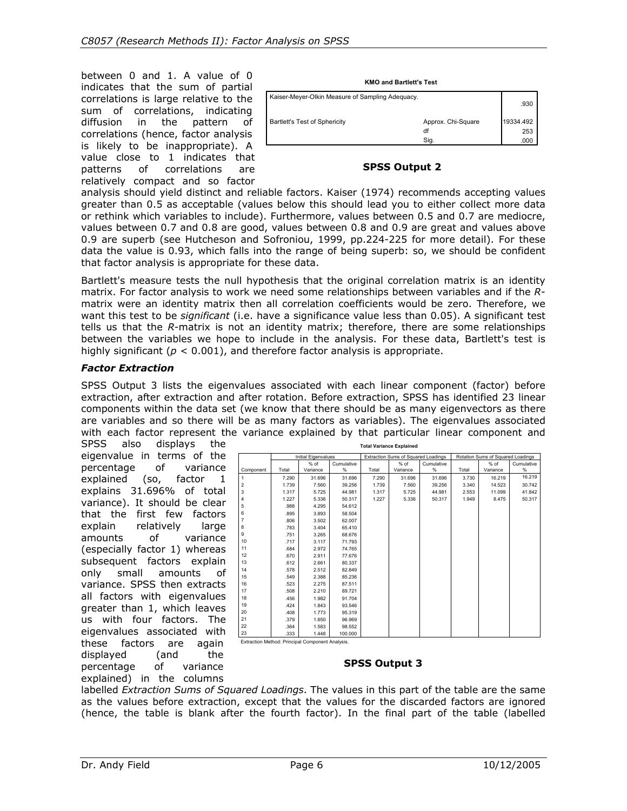between 0 and 1. A value of 0 indicates that the sum of partial correlations is large relative to the sum of correlations, indicating diffusion in the pattern of correlations (hence, factor analysis is likely to be inappropriate). A value close to 1 indicates that patterns of correlations are relatively compact and so factor

| <b>KMO and Bartlett's Test</b>                   |                    |           |  |  |  |  |  |
|--------------------------------------------------|--------------------|-----------|--|--|--|--|--|
| Kaiser-Meyer-Olkin Measure of Sampling Adequacy. |                    | .930      |  |  |  |  |  |
| Bartlett's Test of Sphericity                    | Approx. Chi-Square | 19334.492 |  |  |  |  |  |
|                                                  | df                 | 253       |  |  |  |  |  |
|                                                  | Sig.               | .000      |  |  |  |  |  |

#### **SPSS Output 2**

analysis should yield distinct and reliable factors. Kaiser (1974) recommends accepting values greater than 0.5 as acceptable (values below this should lead you to either collect more data or rethink which variables to include). Furthermore, values between 0.5 and 0.7 are mediocre, values between 0.7 and 0.8 are good, values between 0.8 and 0.9 are great and values above 0.9 are superb (see Hutcheson and Sofroniou, 1999, pp.224-225 for more detail). For these data the value is 0.93, which falls into the range of being superb: so, we should be confident that factor analysis is appropriate for these data.

Bartlett's measure tests the null hypothesis that the original correlation matrix is an identity matrix. For factor analysis to work we need some relationships between variables and if the *R*matrix were an identity matrix then all correlation coefficients would be zero. Therefore, we want this test to be *significant* (i.e. have a significance value less than 0.05). A significant test tells us that the *R*-matrix is not an identity matrix; therefore, there are some relationships between the variables we hope to include in the analysis. For these data, Bartlett's test is highly significant ( $p < 0.001$ ), and therefore factor analysis is appropriate.

#### *Factor Extraction*

SPSS Output 3 lists the eigenvalues associated with each linear component (factor) before extraction, after extraction and after rotation. Before extraction, SPSS has identified 23 linear components within the data set (we know that there should be as many eigenvectors as there are variables and so there will be as many factors as variables). The eigenvalues associated with each factor represent the variance explained by that particular linear component and

SPSS also displays the eigenvalue in terms of the percentage of variance explained (so, factor 1 explains 31.696% of total variance). It should be clear that the first few factors explain relatively large amounts of variance (especially factor 1) whereas subsequent factors explain only small amounts of variance. SPSS then extracts all factors with eigenvalues greater than 1, which leaves us with four factors. The eigenvalues associated with these factors are again<br>displayed (and the displayed (and the percentage of variance explained) in the columns

| <b>Total Variance Explained</b> |                                                  |                            |            |                                     |          |            |       |                                   |        |  |  |
|---------------------------------|--------------------------------------------------|----------------------------|------------|-------------------------------------|----------|------------|-------|-----------------------------------|--------|--|--|
|                                 |                                                  | <b>Initial Eigenvalues</b> |            | Extraction Sums of Squared Loadings |          |            |       | Rotation Sums of Squared Loadings |        |  |  |
|                                 |                                                  | $%$ of                     | Cumulative |                                     | % of     | Cumulative |       | $%$ of<br>Cumulative              |        |  |  |
| Component                       | Total                                            | Variance                   | %          | Total                               | Variance | %          | Total | Variance                          | %      |  |  |
| 1                               | 7.290                                            | 31.696                     | 31.696     | 7.290                               | 31.696   | 31.696     | 3.730 | 16.219                            | 16.219 |  |  |
| $\overline{\mathbf{c}}$         | 1.739                                            | 7.560                      | 39.256     | 1.739                               | 7.560    | 39.256     | 3.340 | 14.523                            | 30.742 |  |  |
| 3                               | 1.317                                            | 5.725                      | 44.981     | 1.317                               | 5.725    | 44.981     | 2.553 | 11.099                            | 41.842 |  |  |
| 4                               | 1.227                                            | 5.336                      | 50.317     | 1.227                               | 5.336    | 50.317     | 1.949 | 8.475                             | 50.317 |  |  |
| 5                               | .988                                             | 4.295                      | 54.612     |                                     |          |            |       |                                   |        |  |  |
| 6                               | .895                                             | 3.893                      | 58.504     |                                     |          |            |       |                                   |        |  |  |
| $\overline{7}$                  | .806                                             | 3.502                      | 62.007     |                                     |          |            |       |                                   |        |  |  |
| 8                               | .783                                             | 3.404                      | 65.410     |                                     |          |            |       |                                   |        |  |  |
| 9                               | .751                                             | 3.265                      | 68.676     |                                     |          |            |       |                                   |        |  |  |
| 10                              | .717                                             | 3.117                      | 71.793     |                                     |          |            |       |                                   |        |  |  |
| 11                              | .684                                             | 2.972                      | 74.765     |                                     |          |            |       |                                   |        |  |  |
| 12                              | .670                                             | 2.911                      | 77.676     |                                     |          |            |       |                                   |        |  |  |
| 13                              | .612                                             | 2.661                      | 80.337     |                                     |          |            |       |                                   |        |  |  |
| 14                              | .578                                             | 2.512                      | 82.849     |                                     |          |            |       |                                   |        |  |  |
| 15                              | .549                                             | 2.388                      | 85.236     |                                     |          |            |       |                                   |        |  |  |
| 16                              | .523                                             | 2.275                      | 87.511     |                                     |          |            |       |                                   |        |  |  |
| 17                              | .508                                             | 2.210                      | 89.721     |                                     |          |            |       |                                   |        |  |  |
| 18                              | .456                                             | 1.982                      | 91.704     |                                     |          |            |       |                                   |        |  |  |
| 19                              | .424                                             | 1.843                      | 93.546     |                                     |          |            |       |                                   |        |  |  |
| 20                              | .408                                             | 1.773                      | 95.319     |                                     |          |            |       |                                   |        |  |  |
| 21                              | .379                                             | 1.650                      | 96.969     |                                     |          |            |       |                                   |        |  |  |
| 22                              | .364                                             | 1.583                      | 98.552     |                                     |          |            |       |                                   |        |  |  |
| 23                              | .333                                             | 1.448                      | 100.000    |                                     |          |            |       |                                   |        |  |  |
|                                 | Extraction Method: Principal Component Analysis. |                            |            |                                     |          |            |       |                                   |        |  |  |

**Total Variance Explained**

**SPSS Output 3** 

labelled *Extraction Sums of Squared Loadings*. The values in this part of the table are the same as the values before extraction, except that the values for the discarded factors are ignored (hence, the table is blank after the fourth factor). In the final part of the table (labelled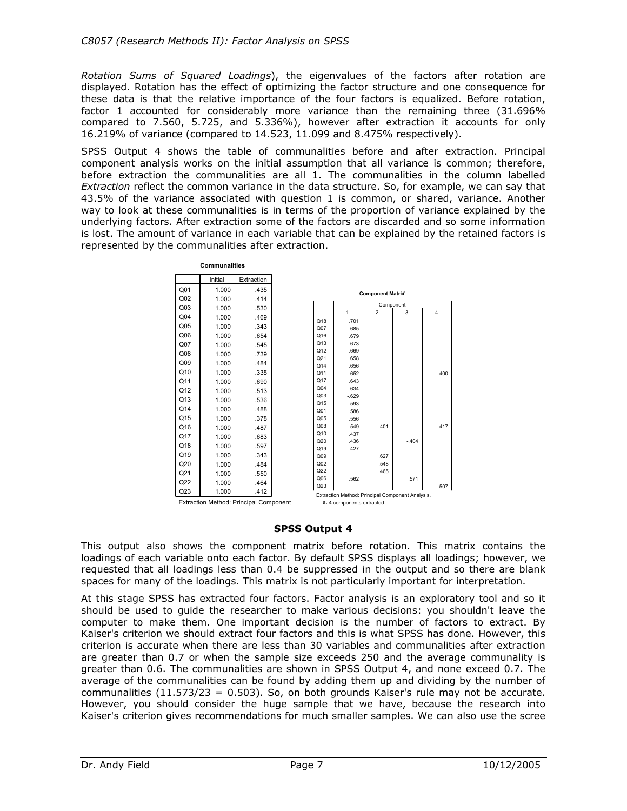*Rotation Sums of Squared Loadings*), the eigenvalues of the factors after rotation are displayed. Rotation has the effect of optimizing the factor structure and one consequence for these data is that the relative importance of the four factors is equalized. Before rotation, factor 1 accounted for considerably more variance than the remaining three (31.696% compared to 7.560, 5.725, and 5.336%), however after extraction it accounts for only 16.219% of variance (compared to 14.523, 11.099 and 8.475% respectively).

SPSS Output 4 shows the table of communalities before and after extraction. Principal component analysis works on the initial assumption that all variance is common; therefore, before extraction the communalities are all 1. The communalities in the column labelled *Extraction* reflect the common variance in the data structure. So, for example, we can say that 43.5% of the variance associated with question 1 is common, or shared, variance. Another way to look at these communalities is in terms of the proportion of variance explained by the underlying factors. After extraction some of the factors are discarded and so some information is lost. The amount of variance in each variable that can be explained by the retained factors is represented by the communalities after extraction.

| Initial<br>Extraction<br>1.000<br>.435<br><b>Component Matrix<sup>a</sup></b><br>1.000<br>.414<br>Component<br>1.000<br>.530<br>$\mathbf{1}$<br>$\overline{2}$<br>3<br>1.000<br>.469<br>Q18<br>.701<br>1.000<br>.343<br>Q07<br>.685<br>1.000<br>.654<br>Q16<br>.679<br>Q13<br>.673<br>1.000<br>.545<br>Q12<br>.669<br>1.000<br>.739<br>Q21<br>.658<br>1.000<br>.484<br>Q14<br>.656<br>1.000<br>.335<br>Q11<br>.652<br>Q17<br>1.000<br>.690<br>.643<br>Q <sub>04</sub><br>.634<br>1.000<br>.513<br>Q <sub>03</sub><br>$-629$<br>1.000<br>.536<br>Q <sub>15</sub><br>.593<br>1.000<br>.488<br>Q <sub>01</sub><br>.586<br>1.000<br>.378<br>Q <sub>05</sub><br>.556<br>Q08<br>.549<br>.401<br>1.000<br>.487<br>Q10<br>.437<br>1.000<br>.683<br>Q20<br>.436<br>$-404$<br>1.000<br>.597<br>Q19<br>$-.427$<br>1.000<br>.343<br>Q09<br>.627<br>Q <sub>02</sub><br>.548<br>1.000<br>.484<br>Q22<br>.465<br>1.000<br>.550<br>Q06<br>.562<br>.571<br>1.000<br>.464<br>Q23<br>1.000<br>.412<br>Extraction Method: Principal Component Analysis. |                 | <b>Communalities</b> |  |  |      |
|-------------------------------------------------------------------------------------------------------------------------------------------------------------------------------------------------------------------------------------------------------------------------------------------------------------------------------------------------------------------------------------------------------------------------------------------------------------------------------------------------------------------------------------------------------------------------------------------------------------------------------------------------------------------------------------------------------------------------------------------------------------------------------------------------------------------------------------------------------------------------------------------------------------------------------------------------------------------------------------------------------------------------------------|-----------------|----------------------|--|--|------|
|                                                                                                                                                                                                                                                                                                                                                                                                                                                                                                                                                                                                                                                                                                                                                                                                                                                                                                                                                                                                                                     |                 |                      |  |  |      |
| $\overline{\mathbf{4}}$<br>Extraction Method: Principal Component                                                                                                                                                                                                                                                                                                                                                                                                                                                                                                                                                                                                                                                                                                                                                                                                                                                                                                                                                                   | Q <sub>01</sub> |                      |  |  |      |
|                                                                                                                                                                                                                                                                                                                                                                                                                                                                                                                                                                                                                                                                                                                                                                                                                                                                                                                                                                                                                                     | Q <sub>02</sub> |                      |  |  |      |
| $-.400$<br>$-.417$                                                                                                                                                                                                                                                                                                                                                                                                                                                                                                                                                                                                                                                                                                                                                                                                                                                                                                                                                                                                                  | Q <sub>03</sub> |                      |  |  |      |
|                                                                                                                                                                                                                                                                                                                                                                                                                                                                                                                                                                                                                                                                                                                                                                                                                                                                                                                                                                                                                                     | Q <sub>04</sub> |                      |  |  |      |
|                                                                                                                                                                                                                                                                                                                                                                                                                                                                                                                                                                                                                                                                                                                                                                                                                                                                                                                                                                                                                                     | Q <sub>05</sub> |                      |  |  |      |
|                                                                                                                                                                                                                                                                                                                                                                                                                                                                                                                                                                                                                                                                                                                                                                                                                                                                                                                                                                                                                                     | Q06             |                      |  |  |      |
|                                                                                                                                                                                                                                                                                                                                                                                                                                                                                                                                                                                                                                                                                                                                                                                                                                                                                                                                                                                                                                     | Q07             |                      |  |  |      |
|                                                                                                                                                                                                                                                                                                                                                                                                                                                                                                                                                                                                                                                                                                                                                                                                                                                                                                                                                                                                                                     | Q08             |                      |  |  |      |
|                                                                                                                                                                                                                                                                                                                                                                                                                                                                                                                                                                                                                                                                                                                                                                                                                                                                                                                                                                                                                                     | Q09             |                      |  |  |      |
|                                                                                                                                                                                                                                                                                                                                                                                                                                                                                                                                                                                                                                                                                                                                                                                                                                                                                                                                                                                                                                     | Q10             |                      |  |  |      |
|                                                                                                                                                                                                                                                                                                                                                                                                                                                                                                                                                                                                                                                                                                                                                                                                                                                                                                                                                                                                                                     | Q11             |                      |  |  |      |
|                                                                                                                                                                                                                                                                                                                                                                                                                                                                                                                                                                                                                                                                                                                                                                                                                                                                                                                                                                                                                                     |                 |                      |  |  |      |
|                                                                                                                                                                                                                                                                                                                                                                                                                                                                                                                                                                                                                                                                                                                                                                                                                                                                                                                                                                                                                                     | Q12             |                      |  |  |      |
|                                                                                                                                                                                                                                                                                                                                                                                                                                                                                                                                                                                                                                                                                                                                                                                                                                                                                                                                                                                                                                     | Q13             |                      |  |  |      |
|                                                                                                                                                                                                                                                                                                                                                                                                                                                                                                                                                                                                                                                                                                                                                                                                                                                                                                                                                                                                                                     | Q14             |                      |  |  |      |
|                                                                                                                                                                                                                                                                                                                                                                                                                                                                                                                                                                                                                                                                                                                                                                                                                                                                                                                                                                                                                                     | Q15             |                      |  |  |      |
|                                                                                                                                                                                                                                                                                                                                                                                                                                                                                                                                                                                                                                                                                                                                                                                                                                                                                                                                                                                                                                     | Q16             |                      |  |  |      |
|                                                                                                                                                                                                                                                                                                                                                                                                                                                                                                                                                                                                                                                                                                                                                                                                                                                                                                                                                                                                                                     | Q17             |                      |  |  |      |
|                                                                                                                                                                                                                                                                                                                                                                                                                                                                                                                                                                                                                                                                                                                                                                                                                                                                                                                                                                                                                                     | Q18             |                      |  |  |      |
|                                                                                                                                                                                                                                                                                                                                                                                                                                                                                                                                                                                                                                                                                                                                                                                                                                                                                                                                                                                                                                     | Q19             |                      |  |  |      |
|                                                                                                                                                                                                                                                                                                                                                                                                                                                                                                                                                                                                                                                                                                                                                                                                                                                                                                                                                                                                                                     | Q20             |                      |  |  |      |
|                                                                                                                                                                                                                                                                                                                                                                                                                                                                                                                                                                                                                                                                                                                                                                                                                                                                                                                                                                                                                                     | Q21             |                      |  |  |      |
|                                                                                                                                                                                                                                                                                                                                                                                                                                                                                                                                                                                                                                                                                                                                                                                                                                                                                                                                                                                                                                     | Q22             |                      |  |  |      |
|                                                                                                                                                                                                                                                                                                                                                                                                                                                                                                                                                                                                                                                                                                                                                                                                                                                                                                                                                                                                                                     | Q23             |                      |  |  | .507 |
| a. 4 components extracted.                                                                                                                                                                                                                                                                                                                                                                                                                                                                                                                                                                                                                                                                                                                                                                                                                                                                                                                                                                                                          |                 |                      |  |  |      |

Extraction Method: Principal Component

#### **SPSS Output 4**

This output also shows the component matrix before rotation. This matrix contains the loadings of each variable onto each factor. By default SPSS displays all loadings; however, we requested that all loadings less than 0.4 be suppressed in the output and so there are blank spaces for many of the loadings. This matrix is not particularly important for interpretation.

At this stage SPSS has extracted four factors. Factor analysis is an exploratory tool and so it should be used to guide the researcher to make various decisions: you shouldn't leave the computer to make them. One important decision is the number of factors to extract. By Kaiser's criterion we should extract four factors and this is what SPSS has done. However, this criterion is accurate when there are less than 30 variables and communalities after extraction are greater than 0.7 or when the sample size exceeds 250 and the average communality is greater than 0.6. The communalities are shown in SPSS Output 4, and none exceed 0.7. The average of the communalities can be found by adding them up and dividing by the number of communalities (11.573/23 = 0.503). So, on both grounds Kaiser's rule may not be accurate. However, you should consider the huge sample that we have, because the research into Kaiser's criterion gives recommendations for much smaller samples. We can also use the scree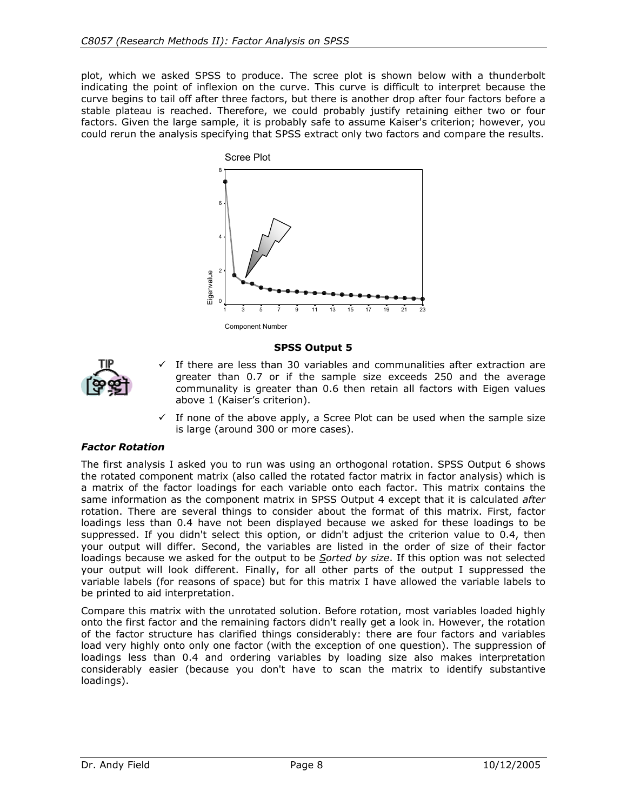plot, which we asked SPSS to produce. The scree plot is shown below with a thunderbolt indicating the point of inflexion on the curve. This curve is difficult to interpret because the curve begins to tail off after three factors, but there is another drop after four factors before a stable plateau is reached. Therefore, we could probably justify retaining either two or four factors. Given the large sample, it is probably safe to assume Kaiser's criterion; however, you could rerun the analysis specifying that SPSS extract only two factors and compare the results.



**SPSS Output 5** 



- If there are less than 30 variables and communalities after extraction are greater than 0.7 or if the sample size exceeds 250 and the average communality is greater than 0.6 then retain all factors with Eigen values above 1 (Kaiser's criterion).
- $\checkmark$  If none of the above apply, a Scree Plot can be used when the sample size is large (around 300 or more cases).

#### *Factor Rotation*

The first analysis I asked you to run was using an orthogonal rotation. SPSS Output 6 shows the rotated component matrix (also called the rotated factor matrix in factor analysis) which is a matrix of the factor loadings for each variable onto each factor. This matrix contains the same information as the component matrix in SPSS Output 4 except that it is calculated *after* rotation. There are several things to consider about the format of this matrix. First, factor loadings less than 0.4 have not been displayed because we asked for these loadings to be suppressed. If you didn't select this option, or didn't adjust the criterion value to 0.4, then your output will differ. Second, the variables are listed in the order of size of their factor loadings because we asked for the output to be *Sorted by size*. If this option was not selected your output will look different. Finally, for all other parts of the output I suppressed the variable labels (for reasons of space) but for this matrix I have allowed the variable labels to be printed to aid interpretation.

Compare this matrix with the unrotated solution. Before rotation, most variables loaded highly onto the first factor and the remaining factors didn't really get a look in. However, the rotation of the factor structure has clarified things considerably: there are four factors and variables load very highly onto only one factor (with the exception of one question). The suppression of loadings less than 0.4 and ordering variables by loading size also makes interpretation considerably easier (because you don't have to scan the matrix to identify substantive loadings).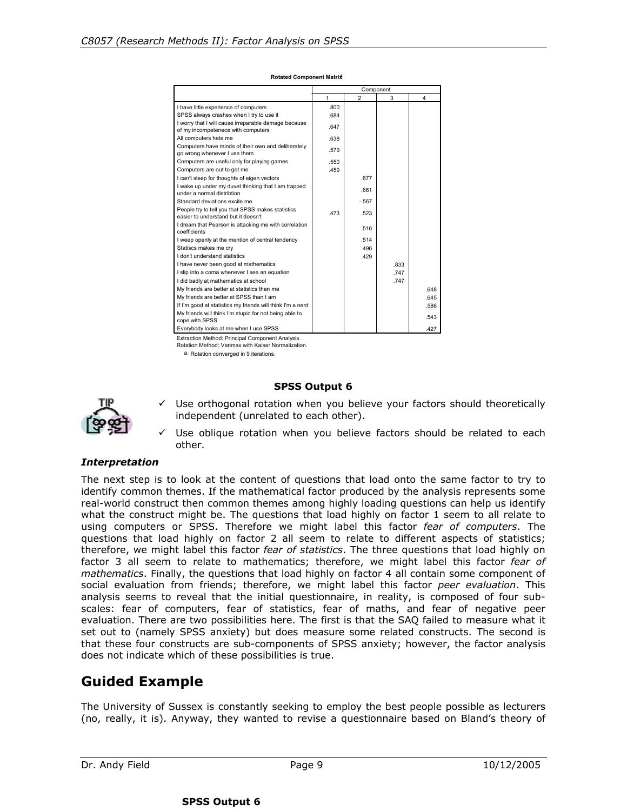|                                                                                            |              | Component      |      |      |  |  |  |
|--------------------------------------------------------------------------------------------|--------------|----------------|------|------|--|--|--|
|                                                                                            | $\mathbf{1}$ | $\mathfrak{p}$ | 3    | 4    |  |  |  |
| I have little experience of computers                                                      | .800         |                |      |      |  |  |  |
| SPSS always crashes when I try to use it                                                   | .684         |                |      |      |  |  |  |
| I worry that I will cause irreparable damage because<br>of my incompetenece with computers | .647         |                |      |      |  |  |  |
| All computers hate me                                                                      | .638         |                |      |      |  |  |  |
| Computers have minds of their own and deliberately<br>go wrong whenever I use them         | .579         |                |      |      |  |  |  |
| Computers are useful only for playing games                                                | .550         |                |      |      |  |  |  |
| Computers are out to get me                                                                | .459         |                |      |      |  |  |  |
| I can't sleep for thoughts of eigen vectors                                                |              | .677           |      |      |  |  |  |
| I wake up under my duvet thinking that I am trapped<br>under a normal distribtion          |              | .661           |      |      |  |  |  |
| Standard deviations excite me                                                              |              | $-567$         |      |      |  |  |  |
| People try to tell you that SPSS makes statistics<br>easier to understand but it doesn't   | 473          | .523           |      |      |  |  |  |
| I dream that Pearson is attacking me with correlation<br>coefficients                      |              | .516           |      |      |  |  |  |
| I weep openly at the mention of central tendency                                           |              | .514           |      |      |  |  |  |
| Statiscs makes me cry                                                                      |              | .496           |      |      |  |  |  |
| I don't understand statistics                                                              |              | .429           |      |      |  |  |  |
| I have never been good at mathematics                                                      |              |                | .833 |      |  |  |  |
| I slip into a coma whenever I see an equation                                              |              |                | .747 |      |  |  |  |
| I did badly at mathematics at school                                                       |              |                | .747 |      |  |  |  |
| My friends are better at statistics than me                                                |              |                |      | .648 |  |  |  |
| My friends are better at SPSS than I am                                                    |              |                |      | .645 |  |  |  |
| If I'm good at statistics my friends will think I'm a nerd                                 |              |                |      | .586 |  |  |  |
| My friends will think I'm stupid for not being able to<br>cope with SPSS                   |              |                |      | .543 |  |  |  |
| Everybody looks at me when I use SPSS                                                      |              |                |      | .427 |  |  |  |

**Rotated Component Matrixa**

Extraction Method: Principal Component Analysis. Rotation Method: Varimax with Kaiser Normalization.

a. Rotation converged in 9 iterations.

#### **SPSS Output 6**



- $\checkmark$  Use orthogonal rotation when you believe your factors should theoretically independent (unrelated to each other).
- Use oblique rotation when you believe factors should be related to each other.

#### *Interpretation*

The next step is to look at the content of questions that load onto the same factor to try to identify common themes. If the mathematical factor produced by the analysis represents some real-world construct then common themes among highly loading questions can help us identify what the construct might be. The questions that load highly on factor 1 seem to all relate to using computers or SPSS. Therefore we might label this factor *fear of computers*. The questions that load highly on factor 2 all seem to relate to different aspects of statistics; therefore, we might label this factor *fear of statistics*. The three questions that load highly on factor 3 all seem to relate to mathematics; therefore, we might label this factor *fear of mathematics*. Finally, the questions that load highly on factor 4 all contain some component of social evaluation from friends; therefore, we might label this factor *peer evaluation*. This analysis seems to reveal that the initial questionnaire, in reality, is composed of four subscales: fear of computers, fear of statistics, fear of maths, and fear of negative peer evaluation. There are two possibilities here. The first is that the SAQ failed to measure what it set out to (namely SPSS anxiety) but does measure some related constructs. The second is that these four constructs are sub-components of SPSS anxiety; however, the factor analysis does not indicate which of these possibilities is true.

### **Guided Example**

The University of Sussex is constantly seeking to employ the best people possible as lecturers (no, really, it is). Anyway, they wanted to revise a questionnaire based on Bland's theory of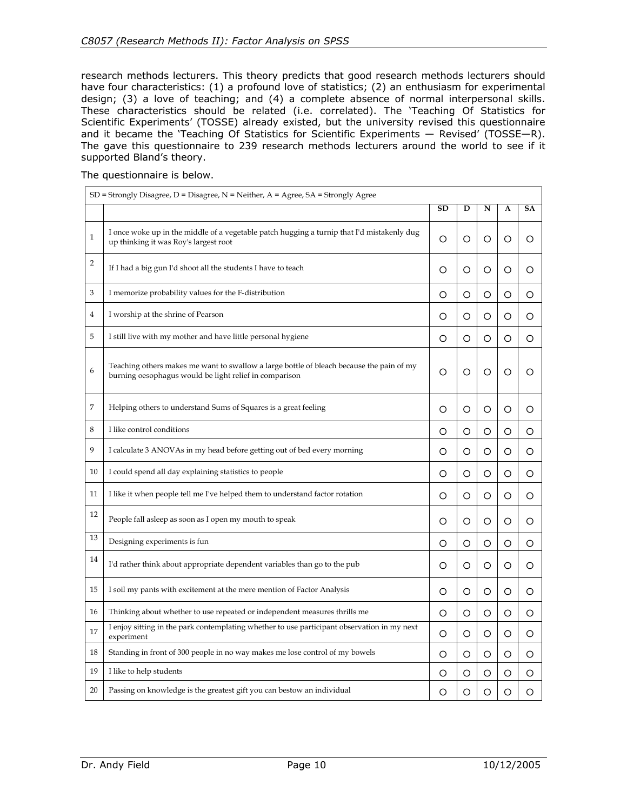research methods lecturers. This theory predicts that good research methods lecturers should have four characteristics: (1) a profound love of statistics; (2) an enthusiasm for experimental design; (3) a love of teaching; and (4) a complete absence of normal interpersonal skills. These characteristics should be related (i.e. correlated). The 'Teaching Of Statistics for Scientific Experiments' (TOSSE) already existed, but the university revised this questionnaire and it became the 'Teaching Of Statistics for Scientific Experiments — Revised' (TOSSE—R). The gave this questionnaire to 239 research methods lecturers around the world to see if it supported Bland's theory.

The questionnaire is below.

|              | $SD$ = Strongly Disagree, D = Disagree, N = Neither, A = Agree, SA = Strongly Agree                                                                |           |   |   |   |           |
|--------------|----------------------------------------------------------------------------------------------------------------------------------------------------|-----------|---|---|---|-----------|
|              |                                                                                                                                                    | <b>SD</b> | D | N | A | <b>SA</b> |
| $\mathbf{1}$ | I once woke up in the middle of a vegetable patch hugging a turnip that I'd mistakenly dug<br>up thinking it was Roy's largest root                | Ο         | O | O | O | O         |
| 2            | If I had a big gun I'd shoot all the students I have to teach                                                                                      | O         | O | O | O | O         |
| 3            | I memorize probability values for the F-distribution                                                                                               | O         | O | O | O | O         |
| 4            | I worship at the shrine of Pearson                                                                                                                 | O         | O | O | O | O         |
| 5            | I still live with my mother and have little personal hygiene                                                                                       | O         | O | O | O | O         |
| 6            | Teaching others makes me want to swallow a large bottle of bleach because the pain of my<br>burning oesophagus would be light relief in comparison | O         | O | O | O | O         |
| 7            | Helping others to understand Sums of Squares is a great feeling                                                                                    | O         | O | O | O | O         |
| 8            | I like control conditions                                                                                                                          | O         | O | O | O | O         |
| 9            | I calculate 3 ANOVAs in my head before getting out of bed every morning                                                                            | O         | O | O | O | O         |
| 10           | I could spend all day explaining statistics to people                                                                                              | Ο         | O | O | O | O         |
| 11           | I like it when people tell me I've helped them to understand factor rotation                                                                       | O         | O | O | O | O         |
| 12           | People fall asleep as soon as I open my mouth to speak                                                                                             | O         | O | O | Ο | O         |
| 13           | Designing experiments is fun                                                                                                                       | O         | O | O | O | O         |
| 14           | I'd rather think about appropriate dependent variables than go to the pub                                                                          | O         | O | O | O | O         |
| 15           | I soil my pants with excitement at the mere mention of Factor Analysis                                                                             | O         | O | O | O | O         |
| 16           | Thinking about whether to use repeated or independent measures thrills me                                                                          | O         | O | O | O | O         |
| 17           | I enjoy sitting in the park contemplating whether to use participant observation in my next<br>experiment                                          | О         | O | O | O | O         |
| 18           | Standing in front of 300 people in no way makes me lose control of my bowels                                                                       | O         | O | O | O | O         |
| 19           | I like to help students                                                                                                                            | Ο         | O | O | Ο | O         |
| 20           | Passing on knowledge is the greatest gift you can bestow an individual                                                                             | O         | O | O | O | O         |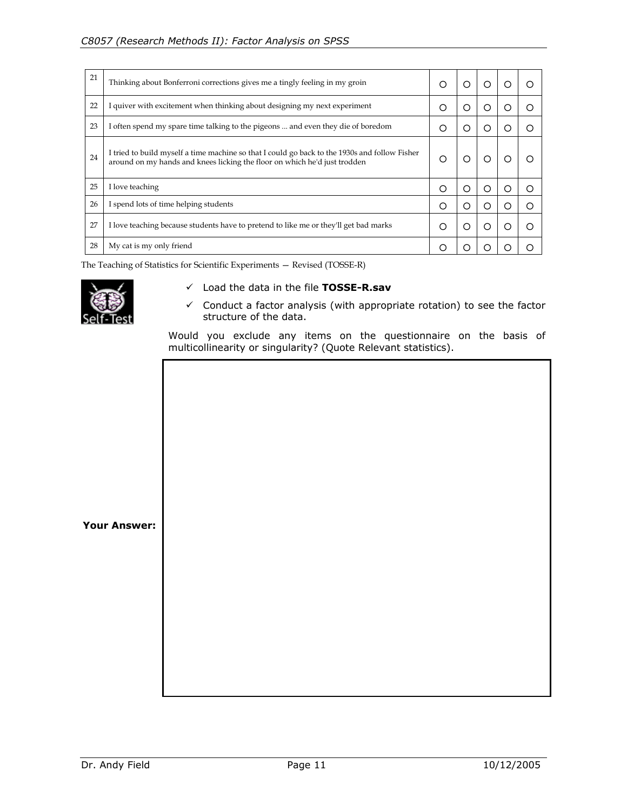| 21 | Thinking about Bonferroni corrections gives me a tingly feeling in my groin                                                                                                | O | Ω | ◯ | 〔 〕 |   |
|----|----------------------------------------------------------------------------------------------------------------------------------------------------------------------------|---|---|---|-----|---|
| 22 | I quiver with excitement when thinking about designing my next experiment                                                                                                  | Ω | ∩ | ◯ | ∩   | ◯ |
| 23 | I often spend my spare time talking to the pigeons  and even they die of boredom                                                                                           | Ω | O | ◯ | ∩   |   |
| 24 | I tried to build myself a time machine so that I could go back to the 1930s and follow Fisher<br>around on my hands and knees licking the floor on which he'd just trodden | О | ∩ |   |     |   |
| 25 | I love teaching                                                                                                                                                            | Ο | O | ◯ | Ω   | Ω |
| 26 | I spend lots of time helping students                                                                                                                                      | Ω | O | ∩ | ∩   |   |
| 27 | I love teaching because students have to pretend to like me or they'll get bad marks                                                                                       | Ω | O | ∩ | ו ז | ◯ |
| 28 | My cat is my only friend                                                                                                                                                   | ∩ |   |   |     |   |

The Teaching of Statistics for Scientific Experiments — Revised (TOSSE-R)



- 9 Load the data in the file **TOSSE-R.sav**
- $\checkmark$  Conduct a factor analysis (with appropriate rotation) to see the factor structure of the data.

Would you exclude any items on the questionnaire on the basis of multicollinearity or singularity? (Quote Relevant statistics).

**Your Answer:**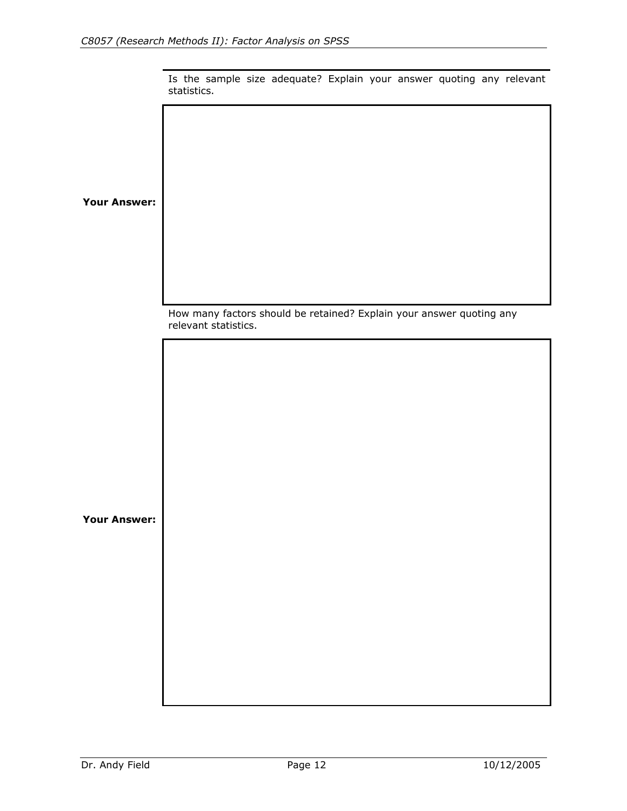|             |  | Is the sample size adequate? Explain your answer quoting any relevant |  |  |  |
|-------------|--|-----------------------------------------------------------------------|--|--|--|
| statistics. |  |                                                                       |  |  |  |

**Your Answer:**

How many factors should be retained? Explain your answer quoting any relevant statistics.

**Your Answer:**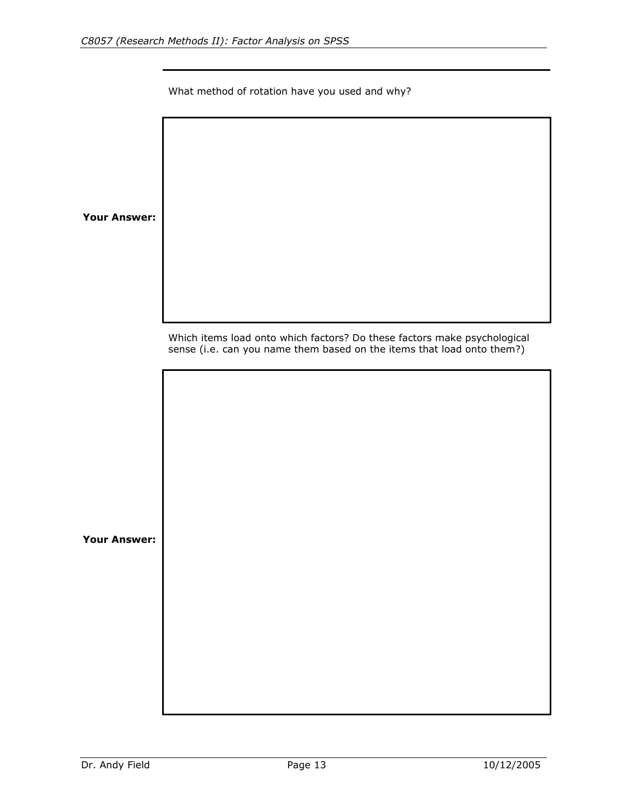What method of rotation have you used and why?

**Your Answer:**

Which items load onto which factors? Do these factors make psychological sense (i.e. can you name them based on the items that load onto them?)

**Your Answer:**